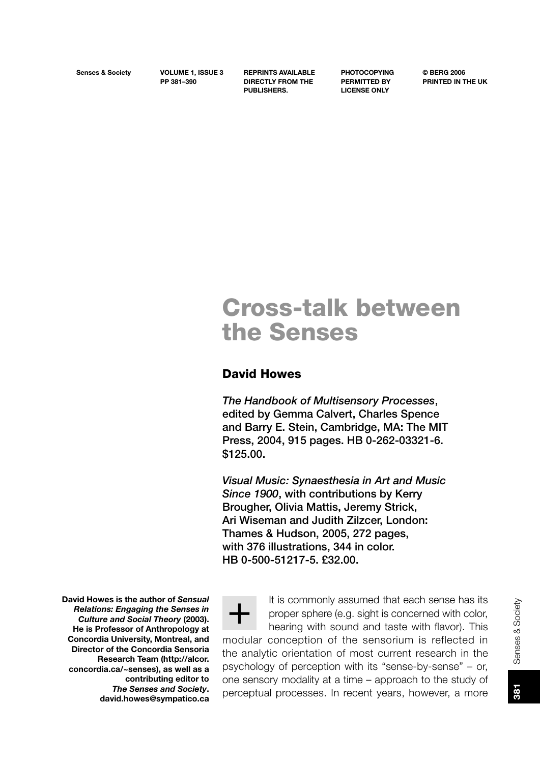**Senses & Society VOLUME 1, ISSUE 3**

**PP 381–390**

**REPRINTS AVAILABLE DIRECTLY FROM THE PUBLISHERS.**

**PHOTOCOPYING PERMITTED BY LICENSE ONLY**

**© BERG 2006 PRINTED IN THE UK**

## Cross-talk between the Senses

## David Howes

*The Handbook of Multisensory Processes*, edited by Gemma Calvert, Charles Spence and Barry E. Stein, Cambridge, MA: The MIT Press, 2004, 915 pages. HB 0-262-03321-6. \$125.00.

*Visual Music: Synaesthesia in Art and Music Since 1900*, with contributions by Kerry Brougher, Olivia Mattis, Jeremy Strick, Ari Wiseman and Judith Zilzcer, London: Thames & Hudson, 2005, 272 pages, with 376 illustrations, 344 in color. HB 0-500-51217-5. £32.00.

**David Howes is the author of** *Sensual Relations: Engaging the Senses in Culture and Social Theory* **(2003). He is Professor of Anthropology at Concordia University, Montreal, and Director of the Concordia Sensoria Research Team (http://alcor. concordia.ca/~senses), as well as a contributing editor to**  *The Senses and Society***. david.howes@sympatico.ca**

It is commonly assumed that each sense has its proper sphere (e.g. sight is concerned with color, hearing with sound and taste with flavor). This modular conception of the sensorium is reflected in the analytic orientation of most current research in the psychology of perception with its "sense-by-sense" – or, one sensory modality at a time – approach to the study of perceptual processes. In recent years, however, a more +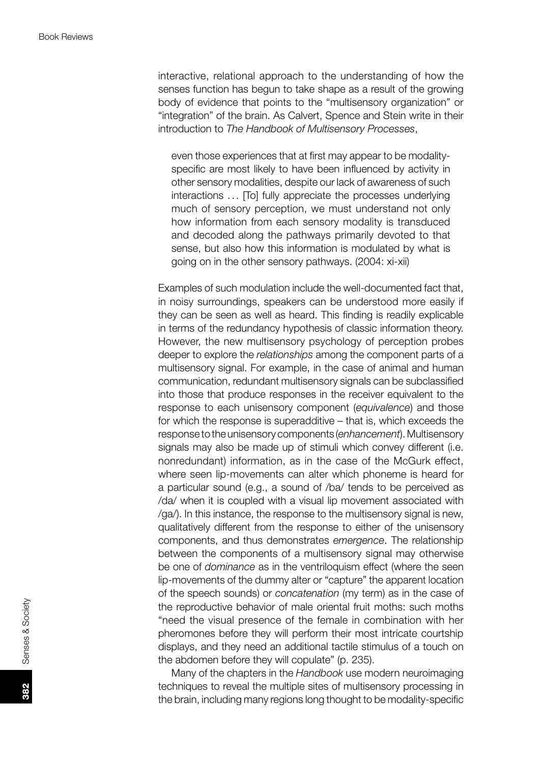interactive, relational approach to the understanding of how the senses function has begun to take shape as a result of the growing body of evidence that points to the "multisensory organization" or "integration" of the brain. As Calvert, Spence and Stein write in their introduction to *The Handbook of Multisensory Processes*,

even those experiences that at first may appear to be modalityspecific are most likely to have been influenced by activity in other sensory modalities, despite our lack of awareness of such interactions ... [To] fully appreciate the processes underlying much of sensory perception, we must understand not only how information from each sensory modality is transduced and decoded along the pathways primarily devoted to that sense, but also how this information is modulated by what is going on in the other sensory pathways. (2004: xi-xii)

Examples of such modulation include the well-documented fact that, in noisy surroundings, speakers can be understood more easily if they can be seen as well as heard. This finding is readily explicable in terms of the redundancy hypothesis of classic information theory. However, the new multisensory psychology of perception probes deeper to explore the *relationships* among the component parts of a multisensory signal. For example, in the case of animal and human communication, redundant multisensory signals can be subclassified into those that produce responses in the receiver equivalent to the response to each unisensory component (*equivalence*) and those for which the response is superadditive – that is, which exceeds the response to the unisensory components (*enhancement*). Multisensory signals may also be made up of stimuli which convey different (i.e. nonredundant) information, as in the case of the McGurk effect, where seen lip-movements can alter which phoneme is heard for a particular sound (e.g., a sound of /ba/ tends to be perceived as /da/ when it is coupled with a visual lip movement associated with /ga/). In this instance, the response to the multisensory signal is new, qualitatively different from the response to either of the unisensory components, and thus demonstrates *emergence*. The relationship between the components of a multisensory signal may otherwise be one of *dominance* as in the ventriloquism effect (where the seen lip-movements of the dummy alter or "capture" the apparent location of the speech sounds) or *concatenation* (my term) as in the case of the reproductive behavior of male oriental fruit moths: such moths "need the visual presence of the female in combination with her pheromones before they will perform their most intricate courtship displays, and they need an additional tactile stimulus of a touch on the abdomen before they will copulate" (p. 235).

Many of the chapters in the *Handbook* use modern neuroimaging techniques to reveal the multiple sites of multisensory processing in the brain, including many regions long thought to be modality-specific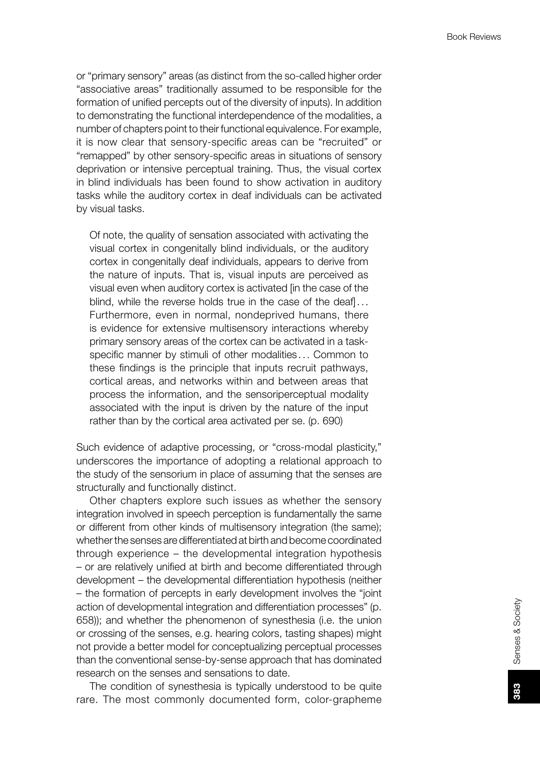or "primary sensory" areas (as distinct from the so-called higher order "associative areas" traditionally assumed to be responsible for the formation of unified percepts out of the diversity of inputs). In addition to demonstrating the functional interdependence of the modalities, a number of chapters point to their functional equivalence. For example, it is now clear that sensory-specific areas can be "recruited" or "remapped" by other sensory-specific areas in situations of sensory deprivation or intensive perceptual training. Thus, the visual cortex in blind individuals has been found to show activation in auditory tasks while the auditory cortex in deaf individuals can be activated by visual tasks.

Of note, the quality of sensation associated with activating the visual cortex in congenitally blind individuals, or the auditory cortex in congenitally deaf individuals, appears to derive from the nature of inputs. That is, visual inputs are perceived as visual even when auditory cortex is activated [in the case of the blind, while the reverse holds true in the case of the deaf... Furthermore, even in normal, nondeprived humans, there is evidence for extensive multisensory interactions whereby primary sensory areas of the cortex can be activated in a taskspecific manner by stimuli of other modalities . . . Common to these findings is the principle that inputs recruit pathways, cortical areas, and networks within and between areas that process the information, and the sensoriperceptual modality associated with the input is driven by the nature of the input rather than by the cortical area activated per se. (p. 690)

Such evidence of adaptive processing, or "cross-modal plasticity," underscores the importance of adopting a relational approach to the study of the sensorium in place of assuming that the senses are structurally and functionally distinct.

Other chapters explore such issues as whether the sensory integration involved in speech perception is fundamentally the same or different from other kinds of multisensory integration (the same); whether the senses are differentiated at birth and become coordinated through experience – the developmental integration hypothesis – or are relatively unified at birth and become differentiated through development – the developmental differentiation hypothesis (neither – the formation of percepts in early development involves the "joint action of developmental integration and differentiation processes" (p. 658)); and whether the phenomenon of synesthesia (i.e. the union or crossing of the senses, e.g. hearing colors, tasting shapes) might not provide a better model for conceptualizing perceptual processes than the conventional sense-by-sense approach that has dominated research on the senses and sensations to date.

The condition of synesthesia is typically understood to be quite rare. The most commonly documented form, color-grapheme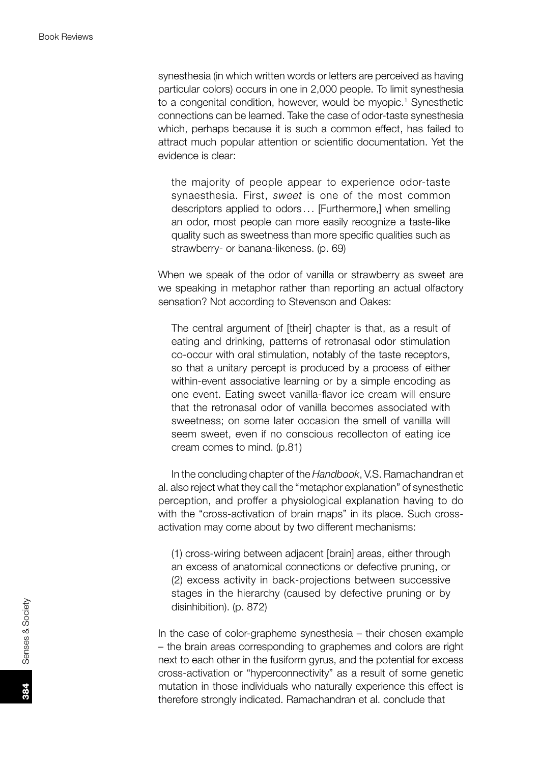synesthesia (in which written words or letters are perceived as having particular colors) occurs in one in 2,000 people. To limit synesthesia to a congenital condition, however, would be myopic.<sup>1</sup> Synesthetic connections can be learned. Take the case of odor-taste synesthesia which, perhaps because it is such a common effect, has failed to attract much popular attention or scientific documentation. Yet the evidence is clear:

the majority of people appear to experience odor-taste synaesthesia. First, *sweet* is one of the most common descriptors applied to odors... [Furthermore,] when smelling an odor, most people can more easily recognize a taste-like quality such as sweetness than more specific qualities such as strawberry- or banana-likeness. (p. 69)

When we speak of the odor of vanilla or strawberry as sweet are we speaking in metaphor rather than reporting an actual olfactory sensation? Not according to Stevenson and Oakes:

The central argument of [their] chapter is that, as a result of eating and drinking, patterns of retronasal odor stimulation co-occur with oral stimulation, notably of the taste receptors, so that a unitary percept is produced by a process of either within-event associative learning or by a simple encoding as one event. Eating sweet vanilla-flavor ice cream will ensure that the retronasal odor of vanilla becomes associated with sweetness; on some later occasion the smell of vanilla will seem sweet, even if no conscious recollecton of eating ice cream comes to mind. (p.81)

In the concluding chapter of the *Handbook*, V.S. Ramachandran et al. also reject what they call the "metaphor explanation" of synesthetic perception, and proffer a physiological explanation having to do with the "cross-activation of brain maps" in its place. Such crossactivation may come about by two different mechanisms:

(1) cross-wiring between adjacent [brain] areas, either through an excess of anatomical connections or defective pruning, or (2) excess activity in back-projections between successive stages in the hierarchy (caused by defective pruning or by disinhibition). (p. 872)

In the case of color-grapheme synesthesia – their chosen example – the brain areas corresponding to graphemes and colors are right next to each other in the fusiform gyrus, and the potential for excess cross-activation or "hyperconnectivity" as a result of some genetic mutation in those individuals who naturally experience this effect is therefore strongly indicated. Ramachandran et al. conclude that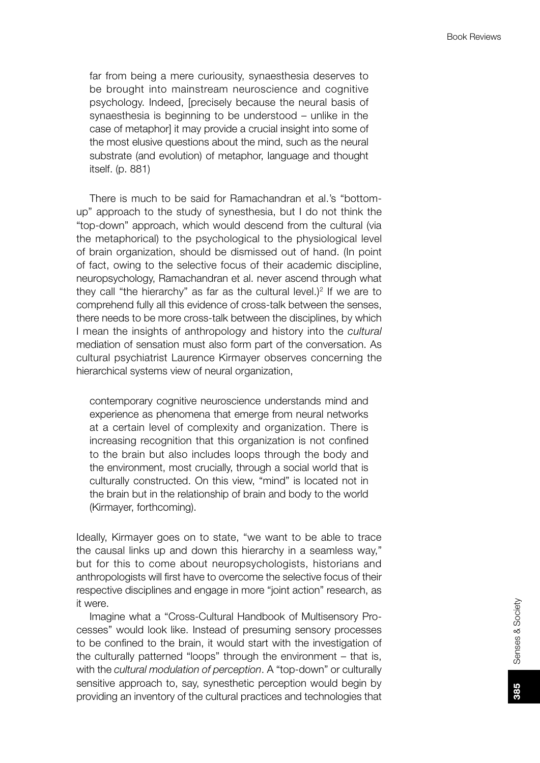far from being a mere curiousity, synaesthesia deserves to be brought into mainstream neuroscience and cognitive psychology. Indeed, [precisely because the neural basis of synaesthesia is beginning to be understood – unlike in the case of metaphor] it may provide a crucial insight into some of the most elusive questions about the mind, such as the neural substrate (and evolution) of metaphor, language and thought itself. (p. 881)

There is much to be said for Ramachandran et al.'s "bottomup" approach to the study of synesthesia, but I do not think the "top-down" approach, which would descend from the cultural (via the metaphorical) to the psychological to the physiological level of brain organization, should be dismissed out of hand. (In point of fact, owing to the selective focus of their academic discipline, neuropsychology, Ramachandran et al. never ascend through what they call "the hierarchy" as far as the cultural level.)<sup>2</sup> If we are to comprehend fully all this evidence of cross-talk between the senses, there needs to be more cross-talk between the disciplines, by which I mean the insights of anthropology and history into the *cultural* mediation of sensation must also form part of the conversation. As cultural psychiatrist Laurence Kirmayer observes concerning the hierarchical systems view of neural organization,

contemporary cognitive neuroscience understands mind and experience as phenomena that emerge from neural networks at a certain level of complexity and organization. There is increasing recognition that this organization is not confined to the brain but also includes loops through the body and the environment, most crucially, through a social world that is culturally constructed. On this view, "mind" is located not in the brain but in the relationship of brain and body to the world (Kirmayer, forthcoming).

Ideally, Kirmayer goes on to state, "we want to be able to trace the causal links up and down this hierarchy in a seamless way," but for this to come about neuropsychologists, historians and anthropologists will first have to overcome the selective focus of their respective disciplines and engage in more "joint action" research, as it were.

Imagine what a "Cross-Cultural Handbook of Multisensory Processes" would look like. Instead of presuming sensory processes to be confined to the brain, it would start with the investigation of the culturally patterned "loops" through the environment – that is, with the *cultural modulation of perception*. A "top-down" or culturally sensitive approach to, say, synesthetic perception would begin by providing an inventory of the cultural practices and technologies that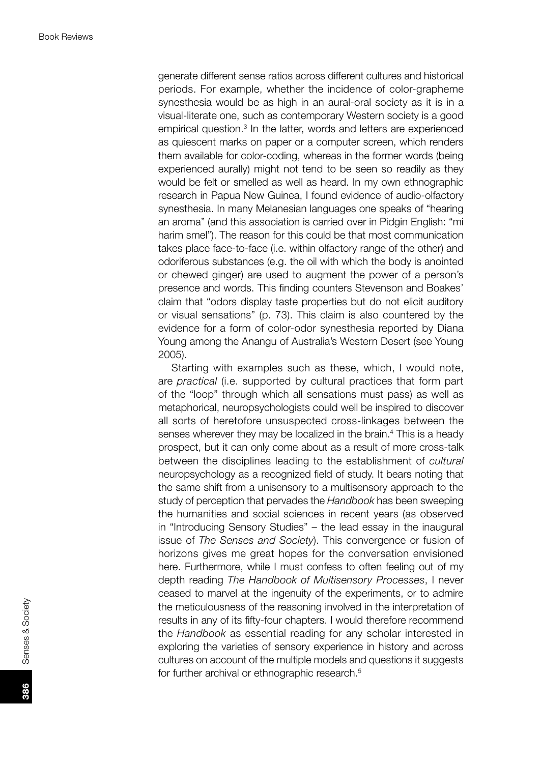generate different sense ratios across different cultures and historical periods. For example, whether the incidence of color-grapheme synesthesia would be as high in an aural-oral society as it is in a visual-literate one, such as contemporary Western society is a good empirical question.<sup>3</sup> In the latter, words and letters are experienced as quiescent marks on paper or a computer screen, which renders them available for color-coding, whereas in the former words (being experienced aurally) might not tend to be seen so readily as they would be felt or smelled as well as heard. In my own ethnographic research in Papua New Guinea, I found evidence of audio-olfactory synesthesia. In many Melanesian languages one speaks of "hearing an aroma" (and this association is carried over in Pidgin English: "mi harim smel"). The reason for this could be that most communication takes place face-to-face (i.e. within olfactory range of the other) and odoriferous substances (e.g. the oil with which the body is anointed or chewed ginger) are used to augment the power of a person's presence and words. This finding counters Stevenson and Boakes' claim that "odors display taste properties but do not elicit auditory or visual sensations" (p. 73). This claim is also countered by the evidence for a form of color-odor synesthesia reported by Diana Young among the Anangu of Australia's Western Desert (see Young 2005).

Starting with examples such as these, which, I would note, are *practical* (i.e. supported by cultural practices that form part of the "loop" through which all sensations must pass) as well as metaphorical, neuropsychologists could well be inspired to discover all sorts of heretofore unsuspected cross-linkages between the senses wherever they may be localized in the brain.<sup>4</sup> This is a heady prospect, but it can only come about as a result of more cross-talk between the disciplines leading to the establishment of *cultural* neuropsychology as a recognized field of study. It bears noting that the same shift from a unisensory to a multisensory approach to the study of perception that pervades the *Handbook* has been sweeping the humanities and social sciences in recent years (as observed in "Introducing Sensory Studies" – the lead essay in the inaugural issue of *The Senses and Society*). This convergence or fusion of horizons gives me great hopes for the conversation envisioned here. Furthermore, while I must confess to often feeling out of my depth reading *The Handbook of Multisensory Processes*, I never ceased to marvel at the ingenuity of the experiments, or to admire the meticulousness of the reasoning involved in the interpretation of results in any of its fifty-four chapters. I would therefore recommend the *Handbook* as essential reading for any scholar interested in exploring the varieties of sensory experience in history and across cultures on account of the multiple models and questions it suggests for further archival or ethnographic research.<sup>5</sup>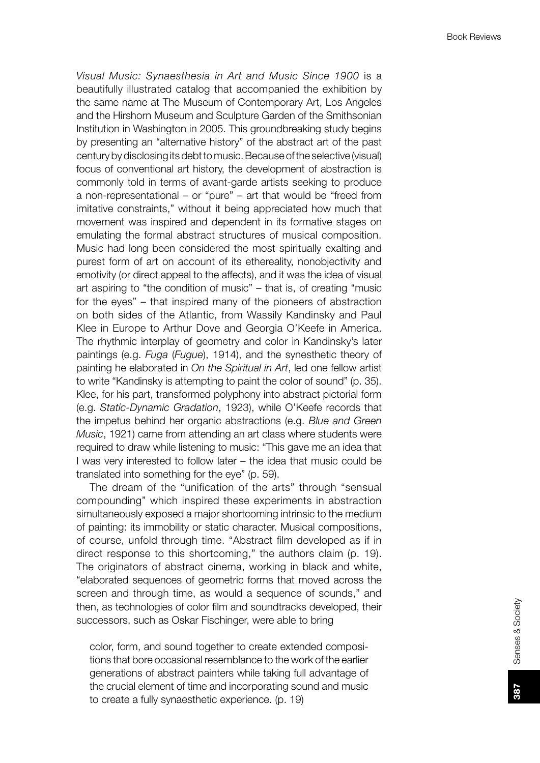*Visual Music: Synaesthesia in Art and Music Since 1900* is a beautifully illustrated catalog that accompanied the exhibition by the same name at The Museum of Contemporary Art, Los Angeles and the Hirshorn Museum and Sculpture Garden of the Smithsonian Institution in Washington in 2005. This groundbreaking study begins by presenting an "alternative history" of the abstract art of the past century by disclosing its debt to music. Because of the selective (visual) focus of conventional art history, the development of abstraction is commonly told in terms of avant-garde artists seeking to produce a non-representational – or "pure" – art that would be "freed from imitative constraints," without it being appreciated how much that movement was inspired and dependent in its formative stages on emulating the formal abstract structures of musical composition. Music had long been considered the most spiritually exalting and purest form of art on account of its ethereality, nonobjectivity and emotivity (or direct appeal to the affects), and it was the idea of visual art aspiring to "the condition of music" – that is, of creating "music for the eyes" – that inspired many of the pioneers of abstraction on both sides of the Atlantic, from Wassily Kandinsky and Paul Klee in Europe to Arthur Dove and Georgia O'Keefe in America. The rhythmic interplay of geometry and color in Kandinsky's later paintings (e.g. *Fuga* (*Fugue*), 1914), and the synesthetic theory of painting he elaborated in *On the Spiritual in Art*, led one fellow artist to write "Kandinsky is attempting to paint the color of sound" (p. 35). Klee, for his part, transformed polyphony into abstract pictorial form (e.g. *Static-Dynamic Gradation*, 1923), while O'Keefe records that the impetus behind her organic abstractions (e.g. *Blue and Green Music*, 1921) came from attending an art class where students were required to draw while listening to music: "This gave me an idea that I was very interested to follow later – the idea that music could be translated into something for the eye" (p. 59).

The dream of the "unification of the arts" through "sensual compounding" which inspired these experiments in abstraction simultaneously exposed a major shortcoming intrinsic to the medium of painting: its immobility or static character. Musical compositions, of course, unfold through time. "Abstract film developed as if in direct response to this shortcoming," the authors claim (p. 19). The originators of abstract cinema, working in black and white, "elaborated sequences of geometric forms that moved across the screen and through time, as would a sequence of sounds," and then, as technologies of color film and soundtracks developed, their successors, such as Oskar Fischinger, were able to bring

color, form, and sound together to create extended compositions that bore occasional resemblance to the work of the earlier generations of abstract painters while taking full advantage of the crucial element of time and incorporating sound and music to create a fully synaesthetic experience. (p. 19)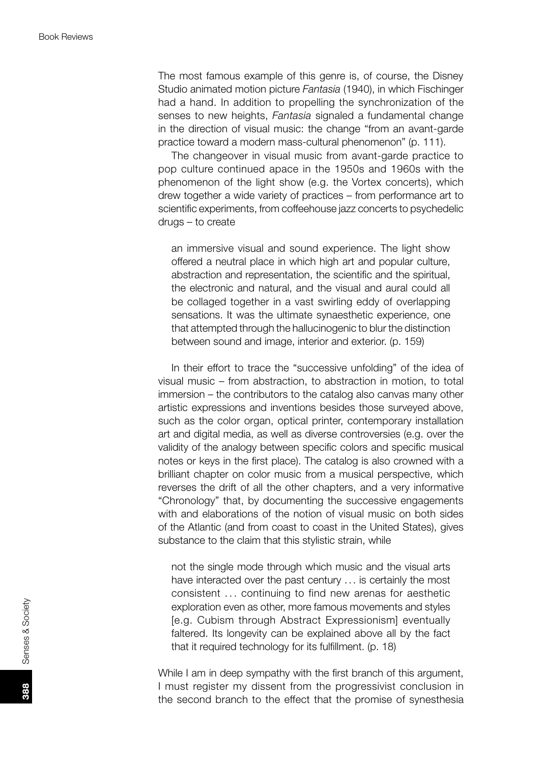The most famous example of this genre is, of course, the Disney Studio animated motion picture *Fantasia* (1940), in which Fischinger had a hand. In addition to propelling the synchronization of the senses to new heights, *Fantasia* signaled a fundamental change in the direction of visual music: the change "from an avant-garde practice toward a modern mass-cultural phenomenon" (p. 111).

The changeover in visual music from avant-garde practice to pop culture continued apace in the 1950s and 1960s with the phenomenon of the light show (e.g. the Vortex concerts), which drew together a wide variety of practices – from performance art to scientific experiments, from coffeehouse jazz concerts to psychedelic drugs – to create

an immersive visual and sound experience. The light show offered a neutral place in which high art and popular culture, abstraction and representation, the scientific and the spiritual, the electronic and natural, and the visual and aural could all be collaged together in a vast swirling eddy of overlapping sensations. It was the ultimate synaesthetic experience, one that attempted through the hallucinogenic to blur the distinction between sound and image, interior and exterior. (p. 159)

In their effort to trace the "successive unfolding" of the idea of visual music – from abstraction, to abstraction in motion, to total immersion – the contributors to the catalog also canvas many other artistic expressions and inventions besides those surveyed above, such as the color organ, optical printer, contemporary installation art and digital media, as well as diverse controversies (e.g. over the validity of the analogy between specific colors and specific musical notes or keys in the first place). The catalog is also crowned with a brilliant chapter on color music from a musical perspective, which reverses the drift of all the other chapters, and a very informative "Chronology" that, by documenting the successive engagements with and elaborations of the notion of visual music on both sides of the Atlantic (and from coast to coast in the United States), gives substance to the claim that this stylistic strain, while

not the single mode through which music and the visual arts have interacted over the past century . . . is certainly the most consistent . . . continuing to find new arenas for aesthetic exploration even as other, more famous movements and styles [e.g. Cubism through Abstract Expressionism] eventually faltered. Its longevity can be explained above all by the fact that it required technology for its fulfillment. (p. 18)

While I am in deep sympathy with the first branch of this argument, I must register my dissent from the progressivist conclusion in the second branch to the effect that the promise of synesthesia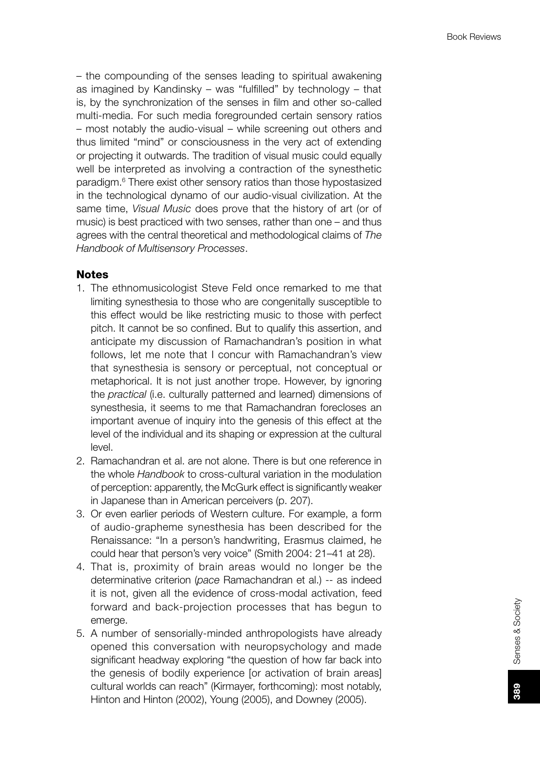– the compounding of the senses leading to spiritual awakening as imagined by Kandinsky – was "fulfilled" by technology – that is, by the synchronization of the senses in film and other so-called multi-media. For such media foregrounded certain sensory ratios – most notably the audio-visual – while screening out others and thus limited "mind" or consciousness in the very act of extending or projecting it outwards. The tradition of visual music could equally well be interpreted as involving a contraction of the synesthetic paradigm.6 There exist other sensory ratios than those hypostasized in the technological dynamo of our audio-visual civilization. At the same time, *Visual Music* does prove that the history of art (or of music) is best practiced with two senses, rather than one – and thus agrees with the central theoretical and methodological claims of *The Handbook of Multisensory Processes*.

## Notes

- 1. The ethnomusicologist Steve Feld once remarked to me that limiting synesthesia to those who are congenitally susceptible to this effect would be like restricting music to those with perfect pitch. It cannot be so confined. But to qualify this assertion, and anticipate my discussion of Ramachandran's position in what follows, let me note that I concur with Ramachandran's view that synesthesia is sensory or perceptual, not conceptual or metaphorical. It is not just another trope. However, by ignoring the *practical* (i.e. culturally patterned and learned) dimensions of synesthesia, it seems to me that Ramachandran forecloses an important avenue of inquiry into the genesis of this effect at the level of the individual and its shaping or expression at the cultural level.
- 2. Ramachandran et al. are not alone. There is but one reference in the whole *Handbook* to cross-cultural variation in the modulation of perception: apparently, the McGurk effect is significantly weaker in Japanese than in American perceivers (p. 207).
- 3. Or even earlier periods of Western culture. For example, a form of audio-grapheme synesthesia has been described for the Renaissance: "In a person's handwriting, Erasmus claimed, he could hear that person's very voice" (Smith 2004: 21–41 at 28).
- 4. That is, proximity of brain areas would no longer be the determinative criterion (*pace* Ramachandran et al.) -- as indeed it is not, given all the evidence of cross-modal activation, feed forward and back-projection processes that has begun to emerge.
- 5. A number of sensorially-minded anthropologists have already opened this conversation with neuropsychology and made significant headway exploring "the question of how far back into the genesis of bodily experience [or activation of brain areas] cultural worlds can reach" (Kirmayer, forthcoming): most notably, Hinton and Hinton (2002), Young (2005), and Downey (2005).